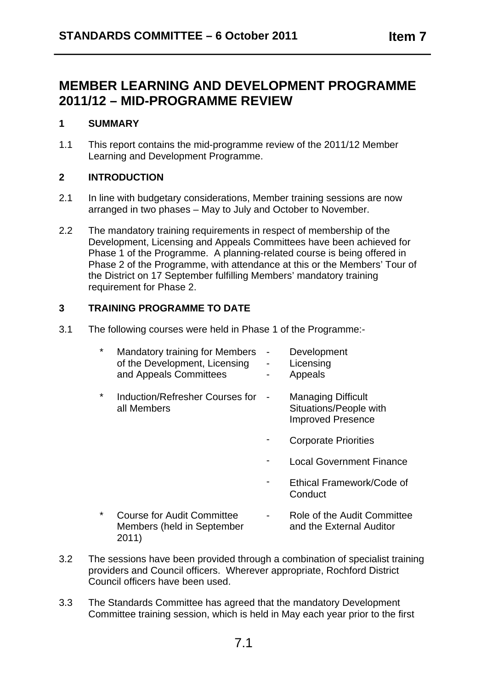## **MEMBER LEARNING AND DEVELOPMENT PROGRAMME 2011/12 – MID-PROGRAMME REVIEW**

#### **1 SUMMARY**

1.1 This report contains the mid-programme review of the 2011/12 Member Learning and Development Programme.

#### **2 INTRODUCTION**

- 2.1 In line with budgetary considerations, Member training sessions are now arranged in two phases – May to July and October to November.
- 2.2 The mandatory training requirements in respect of membership of the Development, Licensing and Appeals Committees have been achieved for Phase 1 of the Programme. A planning-related course is being offered in Phase 2 of the Programme, with attendance at this or the Members' Tour of the District on 17 September fulfilling Members' mandatory training requirement for Phase 2.

#### **3 TRAINING PROGRAMME TO DATE**

3.1 The following courses were held in Phase 1 of the Programme:-

| ¥ | <b>Mandatory training for Members</b><br>of the Development, Licensing<br>and Appeals Committees | Development<br>Licensing<br>Appeals                                             |
|---|--------------------------------------------------------------------------------------------------|---------------------------------------------------------------------------------|
| ¥ | Induction/Refresher Courses for<br>all Members                                                   | <b>Managing Difficult</b><br>Situations/People with<br><b>Improved Presence</b> |
|   |                                                                                                  | <b>Corporate Priorities</b>                                                     |
|   |                                                                                                  | <b>Local Government Finance</b>                                                 |
|   |                                                                                                  | Ethical Framework/Code of<br>Conduct                                            |
| * | <b>Course for Audit Committee</b>                                                                | Role of the Audit Committee                                                     |

- Members (held in September and the External Auditor 2011)
- 
- 3.2 The sessions have been provided through a combination of specialist training providers and Council officers. Wherever appropriate, Rochford District Council officers have been used.
- 3.3 The Standards Committee has agreed that the mandatory Development Committee training session, which is held in May each year prior to the first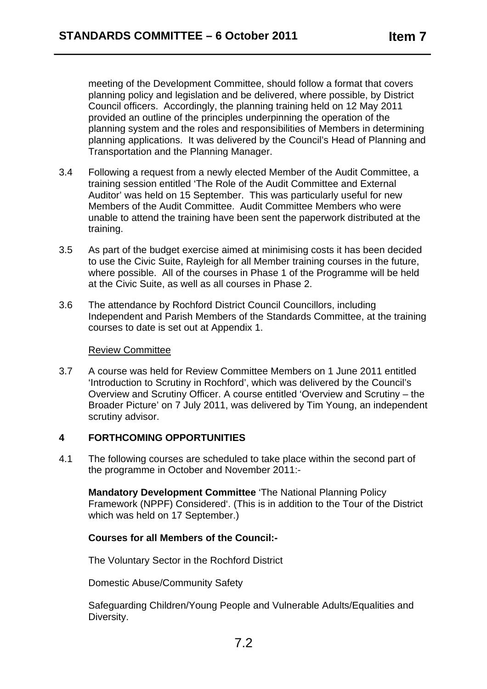meeting of the Development Committee, should follow a format that covers planning policy and legislation and be delivered, where possible, by District Council officers. Accordingly, the planning training held on 12 May 2011 provided an outline of the principles underpinning the operation of the planning system and the roles and responsibilities of Members in determining planning applications. It was delivered by the Council's Head of Planning and Transportation and the Planning Manager.

- 3.4 Following a request from a newly elected Member of the Audit Committee, a training session entitled 'The Role of the Audit Committee and External Auditor' was held on 15 September. This was particularly useful for new Members of the Audit Committee. Audit Committee Members who were unable to attend the training have been sent the paperwork distributed at the training.
- 3.5 As part of the budget exercise aimed at minimising costs it has been decided to use the Civic Suite, Rayleigh for all Member training courses in the future, where possible. All of the courses in Phase 1 of the Programme will be held at the Civic Suite, as well as all courses in Phase 2.
- 3.6 The attendance by Rochford District Council Councillors, including Independent and Parish Members of the Standards Committee, at the training courses to date is set out at Appendix 1.

#### Review Committee

3.7 A course was held for Review Committee Members on 1 June 2011 entitled 'Introduction to Scrutiny in Rochford', which was delivered by the Council's Overview and Scrutiny Officer. A course entitled 'Overview and Scrutiny – the Broader Picture' on 7 July 2011, was delivered by Tim Young, an independent scrutiny advisor.

#### **4 FORTHCOMING OPPORTUNITIES**

4.1 The following courses are scheduled to take place within the second part of the programme in October and November 2011:-

**Mandatory Development Committee** 'The National Planning Policy Framework (NPPF) Considered'. (This is in addition to the Tour of the District which was held on 17 September.)

#### **Courses for all Members of the Council:-**

The Voluntary Sector in the Rochford District

Domestic Abuse/Community Safety

Safeguarding Children/Young People and Vulnerable Adults/Equalities and Diversity.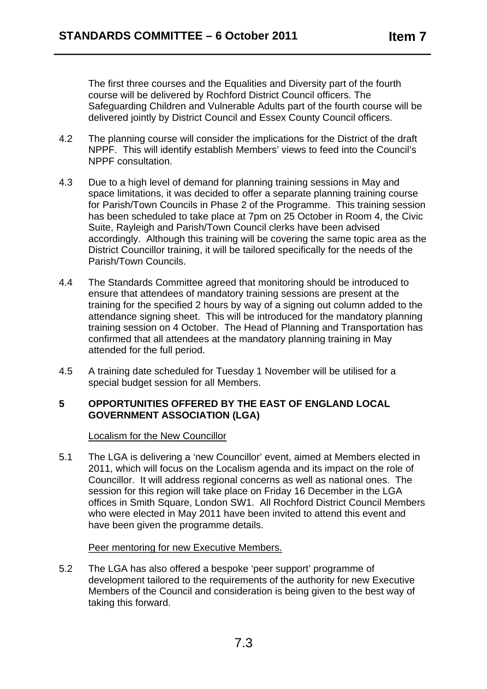The first three courses and the Equalities and Diversity part of the fourth course will be delivered by Rochford District Council officers. The Safeguarding Children and Vulnerable Adults part of the fourth course will be delivered jointly by District Council and Essex County Council officers.

- 4.2 The planning course will consider the implications for the District of the draft NPPF. This will identify establish Members' views to feed into the Council's NPPF consultation.
- 4.3 Due to a high level of demand for planning training sessions in May and space limitations, it was decided to offer a separate planning training course for Parish/Town Councils in Phase 2 of the Programme. This training session has been scheduled to take place at 7pm on 25 October in Room 4, the Civic Suite, Rayleigh and Parish/Town Council clerks have been advised accordingly. Although this training will be covering the same topic area as the District Councillor training, it will be tailored specifically for the needs of the Parish/Town Councils.
- 4.4 The Standards Committee agreed that monitoring should be introduced to ensure that attendees of mandatory training sessions are present at the training for the specified 2 hours by way of a signing out column added to the attendance signing sheet. This will be introduced for the mandatory planning training session on 4 October. The Head of Planning and Transportation has confirmed that all attendees at the mandatory planning training in May attended for the full period.
- 4.5 A training date scheduled for Tuesday 1 November will be utilised for a special budget session for all Members.

#### **5 OPPORTUNITIES OFFERED BY THE EAST OF ENGLAND LOCAL GOVERNMENT ASSOCIATION (LGA)**

Localism for the New Councillor

5.1 The LGA is delivering a 'new Councillor' event, aimed at Members elected in 2011, which will focus on the Localism agenda and its impact on the role of Councillor. It will address regional concerns as well as national ones. The session for this region will take place on Friday 16 December in the LGA offices in Smith Square, London SW1. All Rochford District Council Members who were elected in May 2011 have been invited to attend this event and have been given the programme details.

#### Peer mentoring for new Executive Members.

5.2 The LGA has also offered a bespoke 'peer support' programme of development tailored to the requirements of the authority for new Executive Members of the Council and consideration is being given to the best way of taking this forward.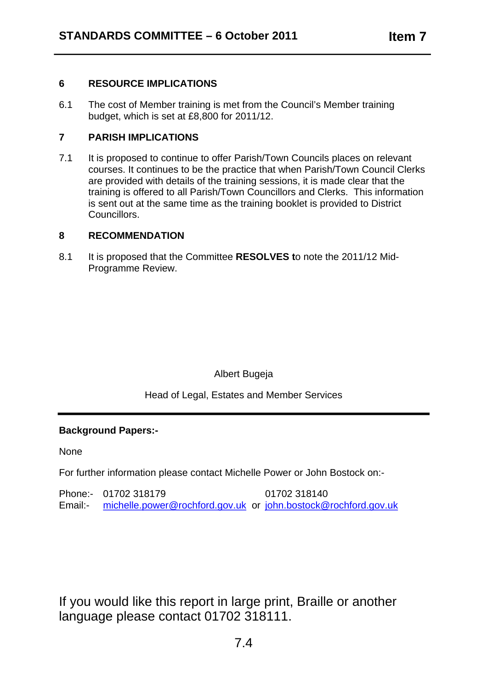#### **6 RESOURCE IMPLICATIONS**

6.1 The cost of Member training is met from the Council's Member training budget, which is set at £8,800 for 2011/12.

#### **7 PARISH IMPLICATIONS**

7.1 It is proposed to continue to offer Parish/Town Councils places on relevant courses. It continues to be the practice that when Parish/Town Council Clerks are provided with details of the training sessions, it is made clear that the training is offered to all Parish/Town Councillors and Clerks. This information is sent out at the same time as the training booklet is provided to District Councillors.

#### **8 RECOMMENDATION**

8.1 It is proposed that the Committee **RESOLVES t**o note the 2011/12 Mid-Programme Review.

### Albert Bugeja

Head of Legal, Estates and Member Services

#### **Background Papers:-**

None

For further information please contact Michelle Power or John Bostock on:-

Phone:- 01702 318179 01702 318140 Email:- michelle.power@rochford.gov.uk or john.bostock@rochford.gov.uk

If you would like this report in large print, Braille or another language please contact 01702 318111.